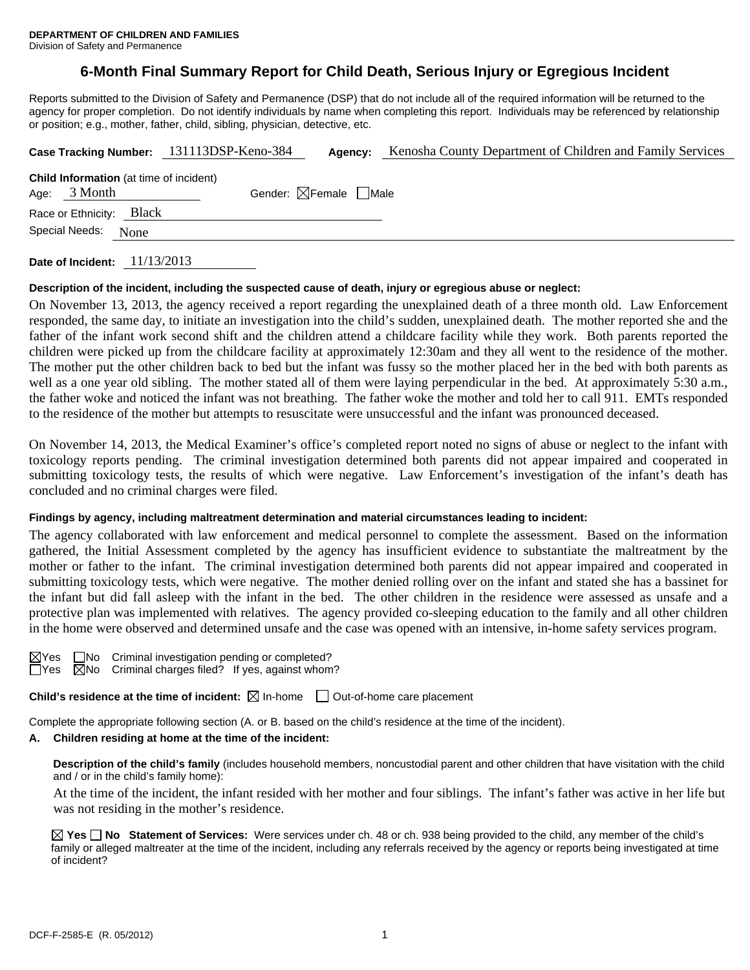# **6-Month Final Summary Report for Child Death, Serious Injury or Egregious Incident**

Reports submitted to the Division of Safety and Permanence (DSP) that do not include all of the required information will be returned to the agency for proper completion. Do not identify individuals by name when completing this report. Individuals may be referenced by relationship or position; e.g., mother, father, child, sibling, physician, detective, etc.

|                                                                  |      | Case Tracking Number: 131113DSP-Keno-384 | Agency:                                | Kenosha County Department of Children and Family Services |  |
|------------------------------------------------------------------|------|------------------------------------------|----------------------------------------|-----------------------------------------------------------|--|
| <b>Child Information</b> (at time of incident)<br>Age: $3$ Month |      |                                          | Gender: $\boxtimes$ Female $\Box$ Male |                                                           |  |
| Race or Ethnicity: Black                                         |      |                                          |                                        |                                                           |  |
| Special Needs:                                                   | None |                                          |                                        |                                                           |  |

**Date of Incident:** 11/13/2013

#### **Description of the incident, including the suspected cause of death, injury or egregious abuse or neglect:**

On November 13, 2013, the agency received a report regarding the unexplained death of a three month old. Law Enforcement responded, the same day, to initiate an investigation into the child's sudden, unexplained death. The mother reported she and the father of the infant work second shift and the children attend a childcare facility while they work. Both parents reported the children were picked up from the childcare facility at approximately 12:30am and they all went to the residence of the mother. The mother put the other children back to bed but the infant was fussy so the mother placed her in the bed with both parents as well as a one year old sibling. The mother stated all of them were laying perpendicular in the bed. At approximately 5:30 a.m., the father woke and noticed the infant was not breathing. The father woke the mother and told her to call 911. EMTs responded to the residence of the mother but attempts to resuscitate were unsuccessful and the infant was pronounced deceased.

On November 14, 2013, the Medical Examiner's office's completed report noted no signs of abuse or neglect to the infant with toxicology reports pending. The criminal investigation determined both parents did not appear impaired and cooperated in submitting toxicology tests, the results of which were negative. Law Enforcement's investigation of the infant's death has concluded and no criminal charges were filed.

#### **Findings by agency, including maltreatment determination and material circumstances leading to incident:**

The agency collaborated with law enforcement and medical personnel to complete the assessment. Based on the information gathered, the Initial Assessment completed by the agency has insufficient evidence to substantiate the maltreatment by the mother or father to the infant. The criminal investigation determined both parents did not appear impaired and cooperated in submitting toxicology tests, which were negative. The mother denied rolling over on the infant and stated she has a bassinet for the infant but did fall asleep with the infant in the bed. The other children in the residence were assessed as unsafe and a protective plan was implemented with relatives. The agency provided co-sleeping education to the family and all other children in the home were observed and determined unsafe and the case was opened with an intensive, in-home safety services program.

| $\boxtimes$ Yes |   |
|-----------------|---|
| Y<br>es         | v |

No Criminal investigation pending or completed?  $\sqrt{2}$ No Criminal charges filed? If yes, against whom?

**Child's residence at the time of incident:**  $\boxtimes$  In-home  $\Box$  Out-of-home care placement

Complete the appropriate following section (A. or B. based on the child's residence at the time of the incident).

#### **A. Children residing at home at the time of the incident:**

**Description of the child's family** (includes household members, noncustodial parent and other children that have visitation with the child and / or in the child's family home):

 At the time of the incident, the infant resided with her mother and four siblings. The infant's father was active in her life but was not residing in the mother's residence.

**Yes No Statement of Services:** Were services under ch. 48 or ch. 938 being provided to the child, any member of the child's family or alleged maltreater at the time of the incident, including any referrals received by the agency or reports being investigated at time of incident?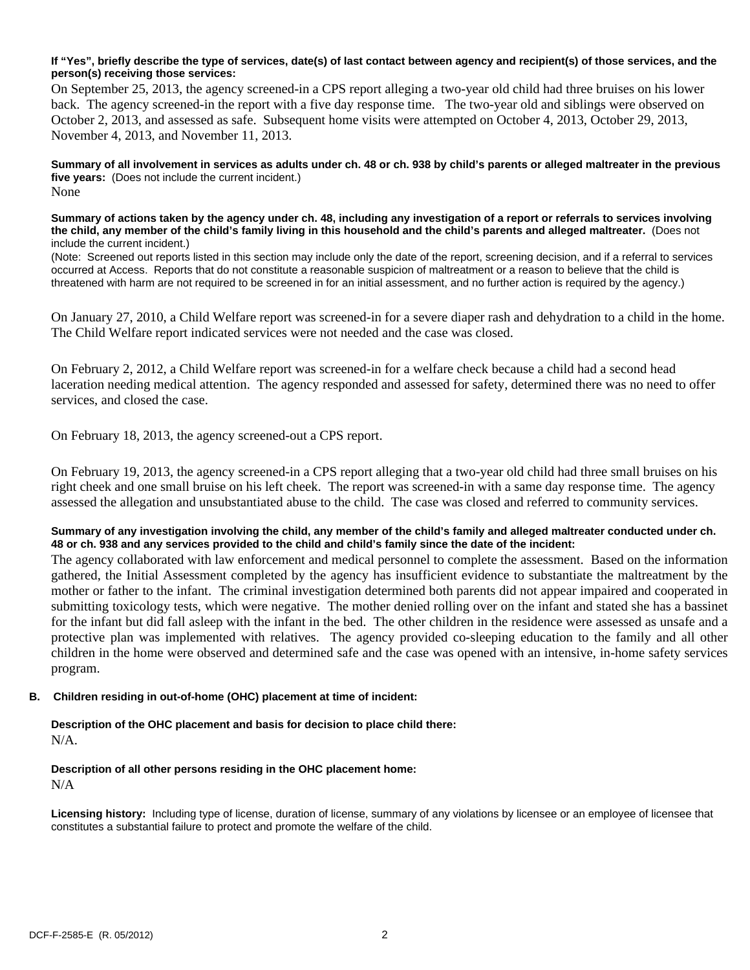### **If "Yes", briefly describe the type of services, date(s) of last contact between agency and recipient(s) of those services, and the person(s) receiving those services:**

On September 25, 2013, the agency screened-in a CPS report alleging a two-year old child had three bruises on his lower back. The agency screened-in the report with a five day response time. The two-year old and siblings were observed on October 2, 2013, and assessed as safe. Subsequent home visits were attempted on October 4, 2013, October 29, 2013, November 4, 2013, and November 11, 2013.

**Summary of all involvement in services as adults under ch. 48 or ch. 938 by child's parents or alleged maltreater in the previous five years:** (Does not include the current incident.) None

**Summary of actions taken by the agency under ch. 48, including any investigation of a report or referrals to services involving the child, any member of the child's family living in this household and the child's parents and alleged maltreater.** (Does not include the current incident.)

(Note: Screened out reports listed in this section may include only the date of the report, screening decision, and if a referral to services occurred at Access. Reports that do not constitute a reasonable suspicion of maltreatment or a reason to believe that the child is threatened with harm are not required to be screened in for an initial assessment, and no further action is required by the agency.)

On January 27, 2010, a Child Welfare report was screened-in for a severe diaper rash and dehydration to a child in the home. The Child Welfare report indicated services were not needed and the case was closed.

On February 2, 2012, a Child Welfare report was screened-in for a welfare check because a child had a second head laceration needing medical attention. The agency responded and assessed for safety, determined there was no need to offer services, and closed the case.

On February 18, 2013, the agency screened-out a CPS report.

On February 19, 2013, the agency screened-in a CPS report alleging that a two-year old child had three small bruises on his right cheek and one small bruise on his left cheek. The report was screened-in with a same day response time. The agency assessed the allegation and unsubstantiated abuse to the child. The case was closed and referred to community services.

### **Summary of any investigation involving the child, any member of the child's family and alleged maltreater conducted under ch. 48 or ch. 938 and any services provided to the child and child's family since the date of the incident:**

The agency collaborated with law enforcement and medical personnel to complete the assessment. Based on the information gathered, the Initial Assessment completed by the agency has insufficient evidence to substantiate the maltreatment by the mother or father to the infant. The criminal investigation determined both parents did not appear impaired and cooperated in submitting toxicology tests, which were negative. The mother denied rolling over on the infant and stated she has a bassinet for the infant but did fall asleep with the infant in the bed. The other children in the residence were assessed as unsafe and a protective plan was implemented with relatives. The agency provided co-sleeping education to the family and all other children in the home were observed and determined safe and the case was opened with an intensive, in-home safety services program.

### **B. Children residing in out-of-home (OHC) placement at time of incident:**

**Description of the OHC placement and basis for decision to place child there:** 

N/A.

#### **Description of all other persons residing in the OHC placement home:**  N/A

**Licensing history:** Including type of license, duration of license, summary of any violations by licensee or an employee of licensee that constitutes a substantial failure to protect and promote the welfare of the child.